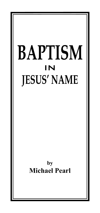# **BAPTISM** in **JESUS' NAME**

**by Michael Pearl**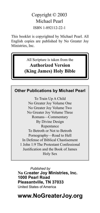### Copyright © 2003 Michael Pearl ISBN 1-892112-22-1

This booklet is copyrighted by Michael Pearl. All English copies are published by No Greater Joy Ministries, Inc.

> All Scripture is taken from the **Authorized Version (King James) Holy Bible**

#### **Other Publications by Michael Pearl**

To Train Up A Child No Greater Joy Volume One No Greater Joy Volume Two No Greater Joy Volume Three Romans—Commentary By Divine Design Repentance To Betroth or Not to Betroth Pornography—Road to Hell In Defense of Biblical Chastisement 1 John 1:9 The Protestant Confessional Justification and the Book of James Holy Sex

*Published by* **No Greater Joy Ministries, Inc. 1000 Pearl Road Pleasantville, TN 37033** United States of America

### **www.NoGreaterJoy.org**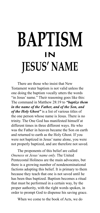## **BAPTISM** in **JESUS' NAME**

There are those who insist that New Testament water baptism is not valid unless the one doing the baptism vocally utters the words "in Jesus' name." Their reasoning goes like this: The command in Matthew 28:19 to *"baptize them in the name of the Father, and of the Son, and of the Holy Ghost"* is a list of various titles of the one person whose name is Jesus. There is no trinity. The One God has manifested himself at different times in three different ways. He who was the Father in heaven became the Son on earth and returned to earth as the Holy Ghost. If you were not baptized in Jesus' name alone, you were not properly baptized, and are therefore not saved.

The proponents of this belief are called *Oneness* or *Jesus' name only.* The United Pentecostal Holiness are the main advocates, but there is a growing number of nondenominational factions adopting this belief. It is primary to them because they teach that one is not saved until he has been thus baptized. Baptism becomes a ritual that must be performed in a certain way, by the proper authority, with the right words spoken, in order to prompt God to dispense his saving grace.

When we come to the book of Acts, we do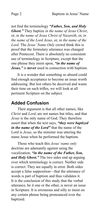not find the terminology *"Father, Son, and Holy Ghost."* They baptize *in the name of Jesus Christ*, or, *in the name of Jesus Christ of Nazareth*, or, *in the name of the Lord Jesus*, or, *in the name of the Lord*. The *Jesus' Name Only* crowd think this is proof that the formulary utterance was changed after Pentecost. There is absolutely no consistent use of terminology in Scripture, except that the one phrase they insist upon, *"in the name of Jesus,"* is **never** used in connection with baptism.

It is a wonder that something so absurd could find enough acceptance to become an issue worth addressing. But lest others be deceived and waste their time on such trifles, we will look at all pertinent Scripture on the subject.

### **Added Confusion**

Their argument is that all other names, like *Christ* and *Lord*, are not names but titles, and that *Jesus* is the only name of God. They therefore assert that when the text says, *"they were baptized in the name of the Lord"* that the name of the Lord is *Jesus*, so the minister was uttering the name Jesus when he performed the baptism.

Those who teach this *Jesus' name only* doctrine are adamantly against using the vocalization, *"in the name of the Father, Son, and Holy Ghost."* The two sides end up arguing over which terminology is correct. Neither side is correct. They are equally in error. Both sides accept a false supposition—that the utterance of words is part of baptism and thus validates it. It is the conclusion of this study that the verbal utterance, be it one or the other, is never an issue in Scripture. It is erroneous and silly to insist on any certain phrase being pronounced over the baptized.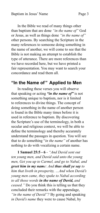In the Bible we read of many things other than baptism that are done *"in the name of"* God or Jesus, as well as things done *"in the name of"* other persons. By searching the Scripture in the many references to someone doing something in the name of another, we will come to see that the Bible is not making an attempt to establish the type of utterance. There are more references than we have recorded here, but we have printed a fair representation. You may want to search your concordance and read them all.

### **"In the Name of " Applied to Men**

In reading these verses you will observe that speaking or acting *"in the name of"* is not something unique to baptism, nor is it limited to references to divine things. The concept of doing something in the name of another person is found in the Bible many times before it is used in reference to baptism. By discovering the Scripture's use of the terminology, in both a secular and religious context, we will be able to define the terminology and thereby accurately understand the passages in question. You will see that to do something "*in the name"* of another has nothing to do with vocalizing a certain name.

**1 Samuel 25:5 - 6** - *"And David sent out ten young men, and David said unto the young men, Get you up to Carmel, and go to Nabal, and greet him in my name: And thus shall ye say to him that liveth in prosperity, …And when David's young men came, they spake to Nabal according to all those words in the name of David, and ceased."* Do you think this is telling us that they concluded their remarks with the appendage, *"in the name of David"?* By going and speaking *in David's name* they were to cause Nabal, by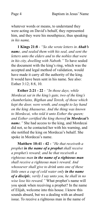whatever words or means, to understand they were acting on David's behalf, they represented him, and they were his mouthpiece, thus speaking *in his nam*e.

**1 Kings 21:8** - *"So she wrote letters in Ahab's name, and sealed them with his seal, and sent the letters unto the elders and to the nobles that were in his city, dwelling with Naboth."* To have sealed the document with the king's ring, which was the accepted and legal method of validation, would have made it carry all the authority of the king. It would have been sent in his name. See also: Esther 3:12; 8:8, 10.

**Esther 2:21 - 22** - *"In those days, while Mordecai sat in the king's gate, two of the king's chamberlains, Bigthan and Teresh, of those which kept the door, were wroth, and sought to lay hand on the king Ahasuerus. And the thing was known to Mordecai, who told it unto Esther the queen; and Esther certified the king thereof in Mordecai's name."* She had access to the king, and Mordecai did not, so he contacted her with his warning, and she notified the king on Mordecai's behalf. She spoke in Mordecai's name.

**Matthew 10:41 - 42 -** *"He that receiveth a prophet in the name of a prophet shall receive a prophet's reward; and he that receiveth a righteous man in the name of a righteous man shall receive a righteous man's reward. And whosoever shall give to drink unto one of these little ones a cup of cold water only in the name of a disciple, verily I say unto you, he shall in no wise lose his reward."* What prophet's name will you speak when receiving a prophet? In the name of Elijah, welcome into this house. I know this sounds absurd, but we a dealing with an absurd issue. To receive a righteous man in the name of